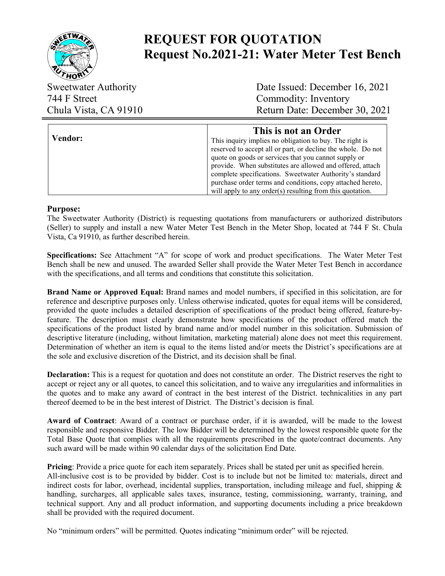

# **REQUEST FOR QUOTATION Request No.2021-21: Water Meter Test Bench**

744 F Street Commodity: Inventory

Sweetwater Authority Date Issued: December 16, 2021 Chula Vista, CA 91910 Return Date: December 30, 2021

|                | This is not an Order                                         |
|----------------|--------------------------------------------------------------|
| <b>Vendor:</b> | This inquiry implies no obligation to buy. The right is      |
|                | reserved to accept all or part, or decline the whole. Do not |
|                | quote on goods or services that you cannot supply or         |
|                | provide. When substitutes are allowed and offered, attach    |
|                | complete specifications. Sweetwater Authority's standard     |
|                | purchase order terms and conditions, copy attached hereto,   |
|                | will apply to any order(s) resulting from this quotation.    |

#### **Purpose:**

The Sweetwater Authority (District) is requesting quotations from manufacturers or authorized distributors (Seller) to supply and install a new Water Meter Test Bench in the Meter Shop, located at 744 F St. Chula Vista, Ca 91910, as further described herein.

**Specifications:** See Attachment "A" for scope of work and product specifications. The Water Meter Test Bench shall be new and unused. The awarded Seller shall provide the Water Meter Test Bench in accordance with the specifications, and all terms and conditions that constitute this solicitation.

**Brand Name or Approved Equal:** Brand names and model numbers, if specified in this solicitation, are for reference and descriptive purposes only. Unless otherwise indicated, quotes for equal items will be considered, provided the quote includes a detailed description of specifications of the product being offered, feature-byfeature. The description must clearly demonstrate how specifications of the product offered match the specifications of the product listed by brand name and/or model number in this solicitation. Submission of descriptive literature (including, without limitation, marketing material) alone does not meet this requirement. Determination of whether an item is equal to the items listed and/or meets the District's specifications are at the sole and exclusive discretion of the District, and its decision shall be final.

**Declaration:** This is a request for quotation and does not constitute an order. The District reserves the right to accept or reject any or all quotes, to cancel this solicitation, and to waive any irregularities and informalities in the quotes and to make any award of contract in the best interest of the District. technicalities in any part thereof deemed to be in the best interest of District. The District's decision is final.

**Award of Contract**: Award of a contract or purchase order, if it is awarded, will be made to the lowest responsible and responsive Bidder. The low Bidder will be determined by the lowest responsible quote for the Total Base Quote that complies with all the requirements prescribed in the quote/contract documents. Any such award will be made within 90 calendar days of the solicitation End Date.

**Pricing**: Provide a price quote for each item separately. Prices shall be stated per unit as specified herein. All-inclusive cost is to be provided by bidder. Cost is to include but not be limited to: materials, direct and indirect costs for labor, overhead, incidental supplies, transportation, including mileage and fuel, shipping & handling, surcharges, all applicable sales taxes, insurance, testing, commissioning, warranty, training, and technical support. Any and all product information, and supporting documents including a price breakdown shall be provided with the required document.

No "minimum orders" will be permitted. Quotes indicating "minimum order" will be rejected.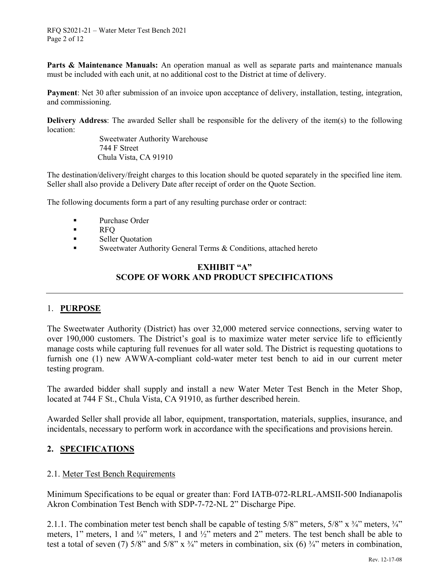**Parts & Maintenance Manuals:** An operation manual as well as separate parts and maintenance manuals must be included with each unit, at no additional cost to the District at time of delivery.

**Payment**: Net 30 after submission of an invoice upon acceptance of delivery, installation, testing, integration, and commissioning.

**Delivery Address**: The awarded Seller shall be responsible for the delivery of the item(s) to the following location:

Sweetwater Authority Warehouse 744 F Street Chula Vista, CA 91910

The destination/delivery/freight charges to this location should be quoted separately in the specified line item. Seller shall also provide a Delivery Date after receipt of order on the Quote Section.

The following documents form a part of any resulting purchase order or contract:

- **Purchase Order**
- **RFO**
- **Seller Quotation**
- Sweetwater Authority General Terms & Conditions, attached hereto

#### **EXHIBIT "A" SCOPE OF WORK AND PRODUCT SPECIFICATIONS**

#### 1. **PURPOSE**

The Sweetwater Authority (District) has over 32,000 metered service connections, serving water to over 190,000 customers. The District's goal is to maximize water meter service life to efficiently manage costs while capturing full revenues for all water sold. The District is requesting quotations to furnish one (1) new AWWA-compliant cold-water meter test bench to aid in our current meter testing program.

The awarded bidder shall supply and install a new Water Meter Test Bench in the Meter Shop, located at 744 F St., Chula Vista, CA 91910, as further described herein.

Awarded Seller shall provide all labor, equipment, transportation, materials, supplies, insurance, and incidentals, necessary to perform work in accordance with the specifications and provisions herein.

#### **2. SPECIFICATIONS**

#### 2.1. Meter Test Bench Requirements

Minimum Specifications to be equal or greater than: Ford IATB-072-RLRL-AMSII-500 Indianapolis Akron Combination Test Bench with SDP-7-72-NL 2" Discharge Pipe.

2.1.1. The combination meter test bench shall be capable of testing 5/8" meters, 5/8" x  $\frac{3}{4}$ " meters,  $\frac{3}{4}$ " meters, 1" meters, 1 and ¼" meters, 1 and ½" meters and 2" meters. The test bench shall be able to test a total of seven (7)  $5/8$ " and  $5/8$ " x  $\frac{3}{4}$ " meters in combination, six (6)  $\frac{3}{4}$ " meters in combination,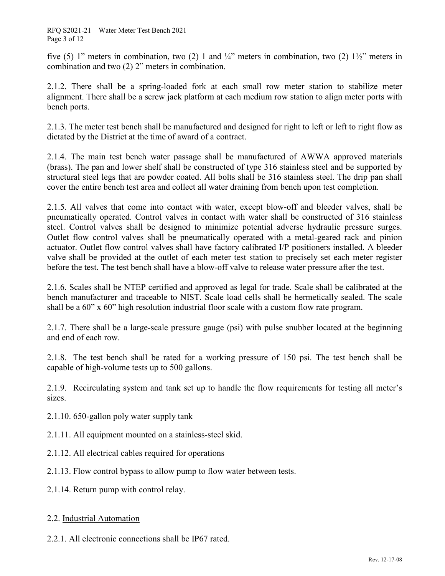five (5) 1" meters in combination, two (2) 1 and  $\frac{1}{4}$ " meters in combination, two (2)  $1\frac{1}{2}$ " meters in combination and two (2) 2" meters in combination.

2.1.2. There shall be a spring-loaded fork at each small row meter station to stabilize meter alignment. There shall be a screw jack platform at each medium row station to align meter ports with bench ports.

2.1.3. The meter test bench shall be manufactured and designed for right to left or left to right flow as dictated by the District at the time of award of a contract.

2.1.4. The main test bench water passage shall be manufactured of AWWA approved materials (brass). The pan and lower shelf shall be constructed of type 316 stainless steel and be supported by structural steel legs that are powder coated. All bolts shall be 316 stainless steel. The drip pan shall cover the entire bench test area and collect all water draining from bench upon test completion.

2.1.5. All valves that come into contact with water, except blow-off and bleeder valves, shall be pneumatically operated. Control valves in contact with water shall be constructed of 316 stainless steel. Control valves shall be designed to minimize potential adverse hydraulic pressure surges. Outlet flow control valves shall be pneumatically operated with a metal-geared rack and pinion actuator. Outlet flow control valves shall have factory calibrated I/P positioners installed. A bleeder valve shall be provided at the outlet of each meter test station to precisely set each meter register before the test. The test bench shall have a blow-off valve to release water pressure after the test.

2.1.6. Scales shall be NTEP certified and approved as legal for trade. Scale shall be calibrated at the bench manufacturer and traceable to NIST. Scale load cells shall be hermetically sealed. The scale shall be a 60" x 60" high resolution industrial floor scale with a custom flow rate program.

2.1.7. There shall be a large-scale pressure gauge (psi) with pulse snubber located at the beginning and end of each row.

2.1.8. The test bench shall be rated for a working pressure of 150 psi. The test bench shall be capable of high-volume tests up to 500 gallons.

2.1.9. Recirculating system and tank set up to handle the flow requirements for testing all meter's sizes.

- 2.1.10. 650-gallon poly water supply tank
- 2.1.11. All equipment mounted on a stainless-steel skid.
- 2.1.12. All electrical cables required for operations
- 2.1.13. Flow control bypass to allow pump to flow water between tests.
- 2.1.14. Return pump with control relay.

### 2.2. Industrial Automation

2.2.1. All electronic connections shall be IP67 rated.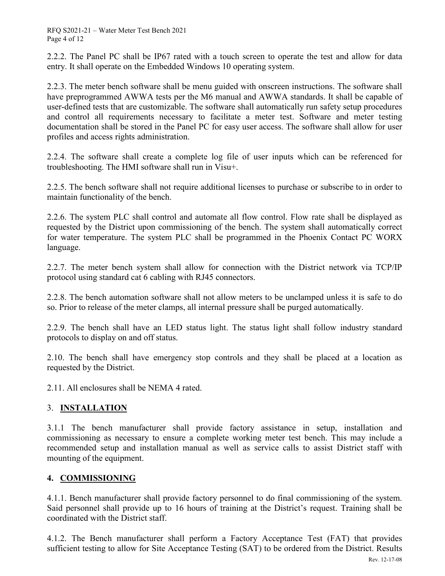2.2.2. The Panel PC shall be IP67 rated with a touch screen to operate the test and allow for data entry. It shall operate on the Embedded Windows 10 operating system.

2.2.3. The meter bench software shall be menu guided with onscreen instructions. The software shall have preprogrammed AWWA tests per the M6 manual and AWWA standards. It shall be capable of user-defined tests that are customizable. The software shall automatically run safety setup procedures and control all requirements necessary to facilitate a meter test. Software and meter testing documentation shall be stored in the Panel PC for easy user access. The software shall allow for user profiles and access rights administration.

2.2.4. The software shall create a complete log file of user inputs which can be referenced for troubleshooting. The HMI software shall run in Visu+.

2.2.5. The bench software shall not require additional licenses to purchase or subscribe to in order to maintain functionality of the bench.

2.2.6. The system PLC shall control and automate all flow control. Flow rate shall be displayed as requested by the District upon commissioning of the bench. The system shall automatically correct for water temperature. The system PLC shall be programmed in the Phoenix Contact PC WORX language.

2.2.7. The meter bench system shall allow for connection with the District network via TCP/IP protocol using standard cat 6 cabling with RJ45 connectors.

2.2.8. The bench automation software shall not allow meters to be unclamped unless it is safe to do so. Prior to release of the meter clamps, all internal pressure shall be purged automatically.

2.2.9. The bench shall have an LED status light. The status light shall follow industry standard protocols to display on and off status.

2.10. The bench shall have emergency stop controls and they shall be placed at a location as requested by the District.

2.11. All enclosures shall be NEMA 4 rated.

## 3. **INSTALLATION**

3.1.1 The bench manufacturer shall provide factory assistance in setup, installation and commissioning as necessary to ensure a complete working meter test bench. This may include a recommended setup and installation manual as well as service calls to assist District staff with mounting of the equipment.

## **4. COMMISSIONING**

4.1.1. Bench manufacturer shall provide factory personnel to do final commissioning of the system. Said personnel shall provide up to 16 hours of training at the District's request. Training shall be coordinated with the District staff.

4.1.2. The Bench manufacturer shall perform a Factory Acceptance Test (FAT) that provides sufficient testing to allow for Site Acceptance Testing (SAT) to be ordered from the District. Results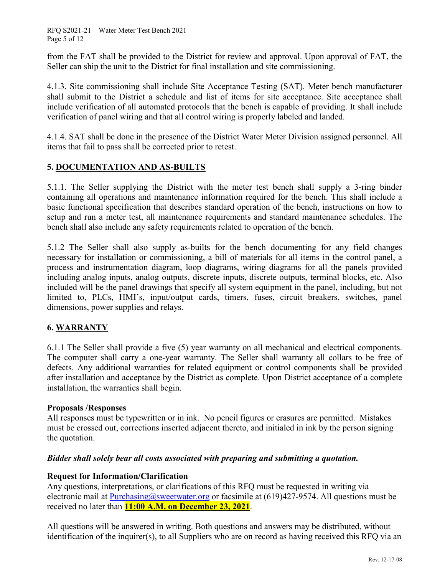RFQ S2021-21 – Water Meter Test Bench 2021 Page 5 of 12

from the FAT shall be provided to the District for review and approval. Upon approval of FAT, the Seller can ship the unit to the District for final installation and site commissioning.

4.1.3. Site commissioning shall include Site Acceptance Testing (SAT). Meter bench manufacturer shall submit to the District a schedule and list of items for site acceptance. Site acceptance shall include verification of all automated protocols that the bench is capable of providing. It shall include verification of panel wiring and that all control wiring is properly labeled and landed.

4.1.4. SAT shall be done in the presence of the District Water Meter Division assigned personnel. All items that fail to pass shall be corrected prior to retest.

### **5. DOCUMENTATION AND AS-BUILTS**

5.1.1. The Seller supplying the District with the meter test bench shall supply a 3-ring binder containing all operations and maintenance information required for the bench. This shall include a basic functional specification that describes standard operation of the bench, instructions on how to setup and run a meter test, all maintenance requirements and standard maintenance schedules. The bench shall also include any safety requirements related to operation of the bench.

5.1.2 The Seller shall also supply as-builts for the bench documenting for any field changes necessary for installation or commissioning, a bill of materials for all items in the control panel, a process and instrumentation diagram, loop diagrams, wiring diagrams for all the panels provided including analog inputs, analog outputs, discrete inputs, discrete outputs, terminal blocks, etc. Also included will be the panel drawings that specify all system equipment in the panel, including, but not limited to, PLCs, HMI's, input/output cards, timers, fuses, circuit breakers, switches, panel dimensions, power supplies and relays.

#### **6. WARRANTY**

6.1.1 The Seller shall provide a five (5) year warranty on all mechanical and electrical components. The computer shall carry a one-year warranty. The Seller shall warranty all collars to be free of defects. Any additional warranties for related equipment or control components shall be provided after installation and acceptance by the District as complete. Upon District acceptance of a complete installation, the warranties shall begin.

#### **Proposals /Responses**

All responses must be typewritten or in ink. No pencil figures or erasures are permitted. Mistakes must be crossed out, corrections inserted adjacent thereto, and initialed in ink by the person signing the quotation.

#### *Bidder shall solely bear all costs associated with preparing and submitting a quotation.*

#### **Request for Information/Clarification**

Any questions, interpretations, or clarifications of this RFQ must be requested in writing via electronic mail at [Purchasing@sweetwater.org](mailto:Purchasing@sweetwater.org) or facsimile at (619)427-9574. All questions must be received no later than **11:00 A.M. on December 23, 2021**.

All questions will be answered in writing. Both questions and answers may be distributed, without identification of the inquirer(s), to all Suppliers who are on record as having received this RFQ via an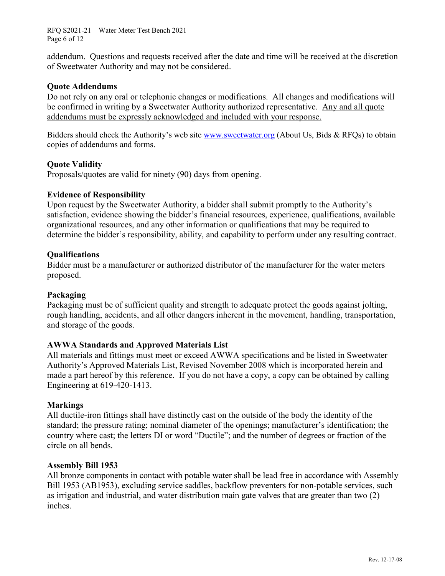RFQ S2021-21 – Water Meter Test Bench 2021 Page 6 of 12

addendum. Questions and requests received after the date and time will be received at the discretion of Sweetwater Authority and may not be considered.

#### **Quote Addendums**

Do not rely on any oral or telephonic changes or modifications. All changes and modifications will be confirmed in writing by a Sweetwater Authority authorized representative. Any and all quote addendums must be expressly acknowledged and included with your response.

Bidders should check the Authority's web site [www.sweetwater.org](http://www.sweetwater.org/) (About Us, Bids & RFQs) to obtain copies of addendums and forms.

#### **Quote Validity**

Proposals/quotes are valid for ninety (90) days from opening.

#### **Evidence of Responsibility**

Upon request by the Sweetwater Authority, a bidder shall submit promptly to the Authority's satisfaction, evidence showing the bidder's financial resources, experience, qualifications, available organizational resources, and any other information or qualifications that may be required to determine the bidder's responsibility, ability, and capability to perform under any resulting contract.

#### **Qualifications**

Bidder must be a manufacturer or authorized distributor of the manufacturer for the water meters proposed.

#### **Packaging**

Packaging must be of sufficient quality and strength to adequate protect the goods against jolting, rough handling, accidents, and all other dangers inherent in the movement, handling, transportation, and storage of the goods.

#### **AWWA Standards and Approved Materials List**

All materials and fittings must meet or exceed AWWA specifications and be listed in Sweetwater Authority's Approved Materials List, Revised November 2008 which is incorporated herein and made a part hereof by this reference. If you do not have a copy, a copy can be obtained by calling Engineering at 619-420-1413.

#### **Markings**

All ductile-iron fittings shall have distinctly cast on the outside of the body the identity of the standard; the pressure rating; nominal diameter of the openings; manufacturer's identification; the country where cast; the letters DI or word "Ductile"; and the number of degrees or fraction of the circle on all bends.

#### **Assembly Bill 1953**

All bronze components in contact with potable water shall be lead free in accordance with Assembly Bill 1953 (AB1953), excluding service saddles, backflow preventers for non-potable services, such as irrigation and industrial, and water distribution main gate valves that are greater than two (2) inches.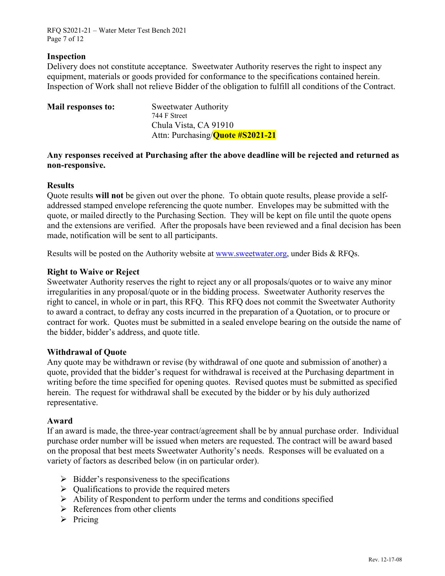RFQ S2021-21 – Water Meter Test Bench 2021 Page 7 of 12

#### **Inspection**

Delivery does not constitute acceptance. Sweetwater Authority reserves the right to inspect any equipment, materials or goods provided for conformance to the specifications contained herein. Inspection of Work shall not relieve Bidder of the obligation to fulfill all conditions of the Contract.

| Mail responses to: | <b>Sweetwater Authority</b>              |
|--------------------|------------------------------------------|
|                    | 744 F Street                             |
|                    | Chula Vista, CA 91910                    |
|                    | Attn: Purchasing/ <b>Quote #S2021-21</b> |
|                    |                                          |

#### **Any responses received at Purchasing after the above deadline will be rejected and returned as non-responsive.**

#### **Results**

Quote results **will not** be given out over the phone. To obtain quote results, please provide a selfaddressed stamped envelope referencing the quote number. Envelopes may be submitted with the quote, or mailed directly to the Purchasing Section. They will be kept on file until the quote opens and the extensions are verified. After the proposals have been reviewed and a final decision has been made, notification will be sent to all participants.

Results will be posted on the Authority website at [www.sweetwater.org,](http://www.sweetwater.org/) under Bids & RFQs.

#### **Right to Waive or Reject**

Sweetwater Authority reserves the right to reject any or all proposals/quotes or to waive any minor irregularities in any proposal/quote or in the bidding process. Sweetwater Authority reserves the right to cancel, in whole or in part, this RFQ. This RFQ does not commit the Sweetwater Authority to award a contract, to defray any costs incurred in the preparation of a Quotation, or to procure or contract for work. Quotes must be submitted in a sealed envelope bearing on the outside the name of the bidder, bidder's address, and quote title.

#### **Withdrawal of Quote**

Any quote may be withdrawn or revise (by withdrawal of one quote and submission of another) a quote, provided that the bidder's request for withdrawal is received at the Purchasing department in writing before the time specified for opening quotes. Revised quotes must be submitted as specified herein. The request for withdrawal shall be executed by the bidder or by his duly authorized representative.

#### **Award**

If an award is made, the three-year contract/agreement shall be by annual purchase order. Individual purchase order number will be issued when meters are requested. The contract will be award based on the proposal that best meets Sweetwater Authority's needs. Responses will be evaluated on a variety of factors as described below (in on particular order).

- $\triangleright$  Bidder's responsiveness to the specifications
- $\triangleright$  Qualifications to provide the required meters
- $\triangleright$  Ability of Respondent to perform under the terms and conditions specified
- $\triangleright$  References from other clients
- $\triangleright$  Pricing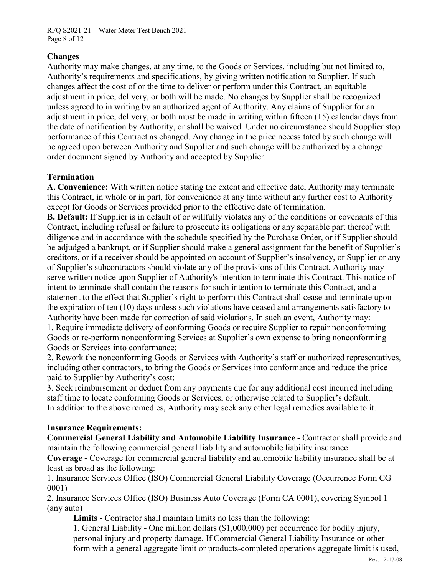RFQ S2021-21 – Water Meter Test Bench 2021 Page 8 of 12

### **Changes**

Authority may make changes, at any time, to the Goods or Services, including but not limited to, Authority's requirements and specifications, by giving written notification to Supplier. If such changes affect the cost of or the time to deliver or perform under this Contract, an equitable adjustment in price, delivery, or both will be made. No changes by Supplier shall be recognized unless agreed to in writing by an authorized agent of Authority. Any claims of Supplier for an adjustment in price, delivery, or both must be made in writing within fifteen (15) calendar days from the date of notification by Authority, or shall be waived. Under no circumstance should Supplier stop performance of this Contract as changed. Any change in the price necessitated by such change will be agreed upon between Authority and Supplier and such change will be authorized by a change order document signed by Authority and accepted by Supplier.

#### **Termination**

**A. Convenience:** With written notice stating the extent and effective date, Authority may terminate this Contract, in whole or in part, for convenience at any time without any further cost to Authority except for Goods or Services provided prior to the effective date of termination.

**B. Default:** If Supplier is in default of or willfully violates any of the conditions or covenants of this Contract, including refusal or failure to prosecute its obligations or any separable part thereof with diligence and in accordance with the schedule specified by the Purchase Order, or if Supplier should be adjudged a bankrupt, or if Supplier should make a general assignment for the benefit of Supplier's creditors, or if a receiver should be appointed on account of Supplier's insolvency, or Supplier or any of Supplier's subcontractors should violate any of the provisions of this Contract, Authority may serve written notice upon Supplier of Authority's intention to terminate this Contract. This notice of intent to terminate shall contain the reasons for such intention to terminate this Contract, and a statement to the effect that Supplier's right to perform this Contract shall cease and terminate upon the expiration of ten (10) days unless such violations have ceased and arrangements satisfactory to Authority have been made for correction of said violations. In such an event, Authority may: 1. Require immediate delivery of conforming Goods or require Supplier to repair nonconforming

Goods or re-perform nonconforming Services at Supplier's own expense to bring nonconforming Goods or Services into conformance;

2. Rework the nonconforming Goods or Services with Authority's staff or authorized representatives, including other contractors, to bring the Goods or Services into conformance and reduce the price paid to Supplier by Authority's cost;

3. Seek reimbursement or deduct from any payments due for any additional cost incurred including staff time to locate conforming Goods or Services, or otherwise related to Supplier's default. In addition to the above remedies, Authority may seek any other legal remedies available to it.

#### **Insurance Requirements:**

**Commercial General Liability and Automobile Liability Insurance -** Contractor shall provide and maintain the following commercial general liability and automobile liability insurance:

**Coverage -** Coverage for commercial general liability and automobile liability insurance shall be at least as broad as the following:

1. Insurance Services Office (ISO) Commercial General Liability Coverage (Occurrence Form CG 0001)

2. Insurance Services Office (ISO) Business Auto Coverage (Form CA 0001), covering Symbol 1 (any auto)

**Limits -** Contractor shall maintain limits no less than the following:

1. General Liability - One million dollars (\$1,000,000) per occurrence for bodily injury, personal injury and property damage. If Commercial General Liability Insurance or other form with a general aggregate limit or products-completed operations aggregate limit is used,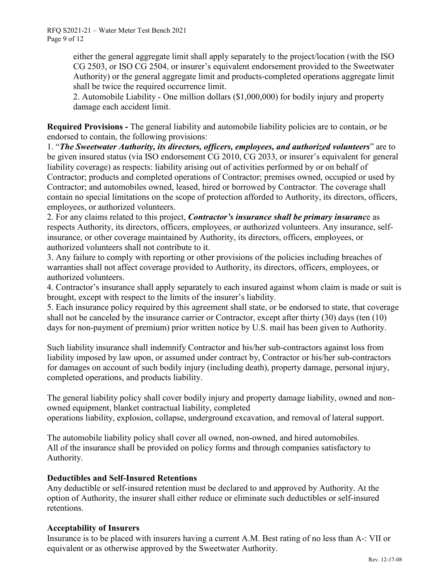RFQ S2021-21 – Water Meter Test Bench 2021 Page 9 of 12

> either the general aggregate limit shall apply separately to the project/location (with the ISO CG 2503, or ISO CG 2504, or insurer's equivalent endorsement provided to the Sweetwater Authority) or the general aggregate limit and products-completed operations aggregate limit shall be twice the required occurrence limit.

2. Automobile Liability - One million dollars (\$1,000,000) for bodily injury and property damage each accident limit.

**Required Provisions -** The general liability and automobile liability policies are to contain, or be endorsed to contain, the following provisions:

1. "*The Sweetwater Authority, its directors, officers, employees, and authorized volunteers*" are to be given insured status (via ISO endorsement CG 2010, CG 2033, or insurer's equivalent for general liability coverage) as respects: liability arising out of activities performed by or on behalf of Contractor; products and completed operations of Contractor; premises owned, occupied or used by Contractor; and automobiles owned, leased, hired or borrowed by Contractor. The coverage shall contain no special limitations on the scope of protection afforded to Authority, its directors, officers, employees, or authorized volunteers.

2. For any claims related to this project, *Contractor's insurance shall be primary insuranc*e as respects Authority, its directors, officers, employees, or authorized volunteers. Any insurance, selfinsurance, or other coverage maintained by Authority, its directors, officers, employees, or authorized volunteers shall not contribute to it.

3. Any failure to comply with reporting or other provisions of the policies including breaches of warranties shall not affect coverage provided to Authority, its directors, officers, employees, or authorized volunteers.

4. Contractor's insurance shall apply separately to each insured against whom claim is made or suit is brought, except with respect to the limits of the insurer's liability.

5. Each insurance policy required by this agreement shall state, or be endorsed to state, that coverage shall not be canceled by the insurance carrier or Contractor, except after thirty (30) days (ten (10) days for non-payment of premium) prior written notice by U.S. mail has been given to Authority.

Such liability insurance shall indemnify Contractor and his/her sub-contractors against loss from liability imposed by law upon, or assumed under contract by, Contractor or his/her sub-contractors for damages on account of such bodily injury (including death), property damage, personal injury, completed operations, and products liability.

The general liability policy shall cover bodily injury and property damage liability, owned and nonowned equipment, blanket contractual liability, completed operations liability, explosion, collapse, underground excavation, and removal of lateral support.

The automobile liability policy shall cover all owned, non-owned, and hired automobiles. All of the insurance shall be provided on policy forms and through companies satisfactory to Authority.

#### **Deductibles and Self-Insured Retentions**

Any deductible or self-insured retention must be declared to and approved by Authority. At the option of Authority, the insurer shall either reduce or eliminate such deductibles or self-insured retentions.

#### **Acceptability of Insurers**

Insurance is to be placed with insurers having a current A.M. Best rating of no less than A-: VII or equivalent or as otherwise approved by the Sweetwater Authority.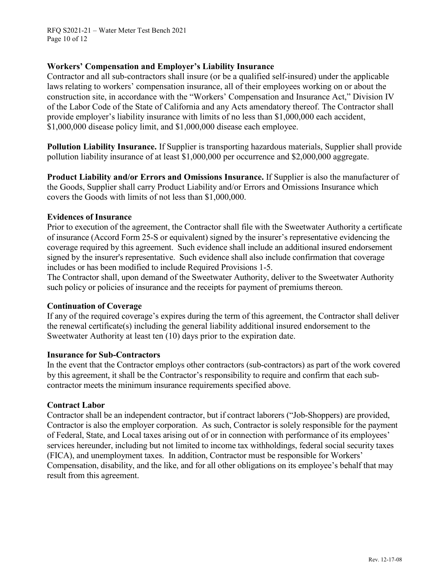RFQ S2021-21 – Water Meter Test Bench 2021 Page 10 of 12

#### **Workers' Compensation and Employer's Liability Insurance**

Contractor and all sub-contractors shall insure (or be a qualified self-insured) under the applicable laws relating to workers' compensation insurance, all of their employees working on or about the construction site, in accordance with the "Workers' Compensation and Insurance Act," Division IV of the Labor Code of the State of California and any Acts amendatory thereof. The Contractor shall provide employer's liability insurance with limits of no less than \$1,000,000 each accident, \$1,000,000 disease policy limit, and \$1,000,000 disease each employee.

**Pollution Liability Insurance.** If Supplier is transporting hazardous materials, Supplier shall provide pollution liability insurance of at least \$1,000,000 per occurrence and \$2,000,000 aggregate.

**Product Liability and/or Errors and Omissions Insurance.** If Supplier is also the manufacturer of the Goods, Supplier shall carry Product Liability and/or Errors and Omissions Insurance which covers the Goods with limits of not less than \$1,000,000.

#### **Evidences of Insurance**

Prior to execution of the agreement, the Contractor shall file with the Sweetwater Authority a certificate of insurance (Accord Form 25-S or equivalent) signed by the insurer's representative evidencing the coverage required by this agreement. Such evidence shall include an additional insured endorsement signed by the insurer's representative. Such evidence shall also include confirmation that coverage includes or has been modified to include Required Provisions 1-5.

The Contractor shall, upon demand of the Sweetwater Authority, deliver to the Sweetwater Authority such policy or policies of insurance and the receipts for payment of premiums thereon.

#### **Continuation of Coverage**

If any of the required coverage's expires during the term of this agreement, the Contractor shall deliver the renewal certificate(s) including the general liability additional insured endorsement to the Sweetwater Authority at least ten (10) days prior to the expiration date.

#### **Insurance for Sub-Contractors**

In the event that the Contractor employs other contractors (sub-contractors) as part of the work covered by this agreement, it shall be the Contractor's responsibility to require and confirm that each subcontractor meets the minimum insurance requirements specified above.

#### **Contract Labor**

Contractor shall be an independent contractor, but if contract laborers ("Job-Shoppers) are provided, Contractor is also the employer corporation. As such, Contractor is solely responsible for the payment of Federal, State, and Local taxes arising out of or in connection with performance of its employees' services hereunder, including but not limited to income tax withholdings, federal social security taxes (FICA), and unemployment taxes. In addition, Contractor must be responsible for Workers' Compensation, disability, and the like, and for all other obligations on its employee's behalf that may result from this agreement.